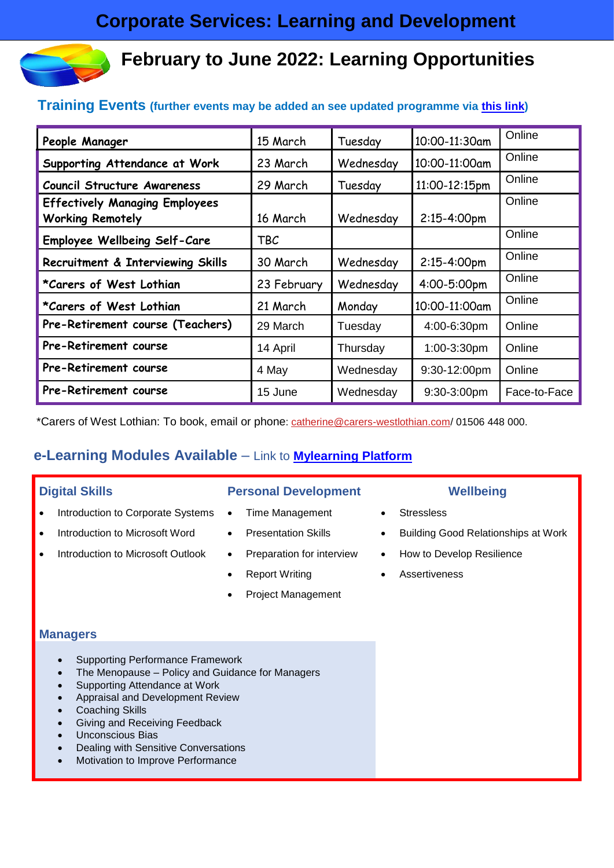# **February to June 2022: Learning Opportunities**

## **Training Events (further events may be added an see updated programme via [this link\)](https://intranet.westlothian.gov.uk/article/6903/Learning-Zone)**

| People Manager                                                   | 15 March    | Tuesday   | 10:00-11:30am | Online       |
|------------------------------------------------------------------|-------------|-----------|---------------|--------------|
| Supporting Attendance at Work                                    | 23 March    | Wednesday | 10:00-11:00am | Online       |
| <b>Council Structure Awareness</b>                               | 29 March    | Tuesday   | 11:00-12:15pm | Online       |
| <b>Effectively Managing Employees</b><br><b>Working Remotely</b> | 16 March    | Wednesday | 2:15-4:00pm   | Online       |
| <b>Employee Wellbeing Self-Care</b>                              | TBC         |           |               | Online       |
| Recruitment & Interviewing Skills                                | 30 March    | Wednesday | 2:15-4:00pm   | Online       |
| *Carers of West Lothian                                          | 23 February | Wednesday | 4:00-5:00pm   | Online       |
| *Carers of West Lothian                                          | 21 March    | Monday    | 10:00-11:00am | Online       |
| Pre-Retirement course (Teachers)                                 | 29 March    | Tuesday   | 4:00-6:30pm   | Online       |
| <b>Pre-Retirement course</b>                                     | 14 April    | Thursday  | 1:00-3:30pm   | Online       |
| <b>Pre-Retirement course</b>                                     | 4 May       | Wednesday | 9:30-12:00pm  | Online       |
| Pre-Retirement course                                            | 15 June     | Wednesday | 9:30-3:00pm   | Face-to-Face |

\*Carers of West Lothian: To book, email or phone: [catherine@carers-westlothian.com/](mailto:catherine@carers-westlothian.com) 01506 448 000.

# **e-Learning Modules Available** – Link to **[Mylearning Platform](https://mylearning.westlothian.gov.uk/login/index.php)**

- Introduction to Corporate Systems Time Management Stressless
- 
- Introduction to Microsoft Outlook Preparation for interview How to Develop Resilience

### **Digital Skills Personal Development Wellbeing**

- 
- 
- 
- 
- Project Management

- 
- Introduction to Microsoft Word Presentation Skills Building Good Relationships at Work
	-
	- **Report Writing Assertiveness**

#### **Managers**

- Supporting Performance Framework
- The Menopause Policy and Guidance for Managers
- Supporting Attendance at Work
- Appraisal and Development Review
- Coaching Skills
- Giving and Receiving Feedback
- Unconscious Bias
- Dealing with Sensitive Conversations
- Motivation to Improve Performance